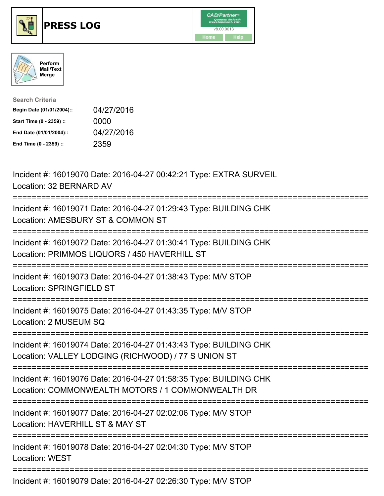





| <b>Search Criteria</b>    |            |
|---------------------------|------------|
| Begin Date (01/01/2004):: | 04/27/2016 |
| Start Time (0 - 2359) ::  | 0000       |
| End Date (01/01/2004)::   | 04/27/2016 |
| End Time (0 - 2359) ::    | 2359       |

Incident #: 16019070 Date: 2016-04-27 00:42:21 Type: EXTRA SURVEIL Location: 32 BERNARD AV =========================================================================== Incident #: 16019071 Date: 2016-04-27 01:29:43 Type: BUILDING CHK Location: AMESBURY ST & COMMON ST =========================================================================== Incident #: 16019072 Date: 2016-04-27 01:30:41 Type: BUILDING CHK Location: PRIMMOS LIQUORS / 450 HAVERHILL ST =========================================================================== Incident #: 16019073 Date: 2016-04-27 01:38:43 Type: M/V STOP Location: SPRINGFIELD ST =========================================================================== Incident #: 16019075 Date: 2016-04-27 01:43:35 Type: M/V STOP Location: 2 MUSEUM SQ =========================================================================== Incident #: 16019074 Date: 2016-04-27 01:43:43 Type: BUILDING CHK Location: VALLEY LODGING (RICHWOOD) / 77 S UNION ST =========================================================================== Incident #: 16019076 Date: 2016-04-27 01:58:35 Type: BUILDING CHK Location: COMMONWEALTH MOTORS / 1 COMMONWEALTH DR =========================================================================== Incident #: 16019077 Date: 2016-04-27 02:02:06 Type: M/V STOP Location: HAVERHILL ST & MAY ST =========================================================================== Incident #: 16019078 Date: 2016-04-27 02:04:30 Type: M/V STOP Location: WEST =========================================================================== Incident #: 16019079 Date: 2016-04-27 02:26:30 Type: M/V STOP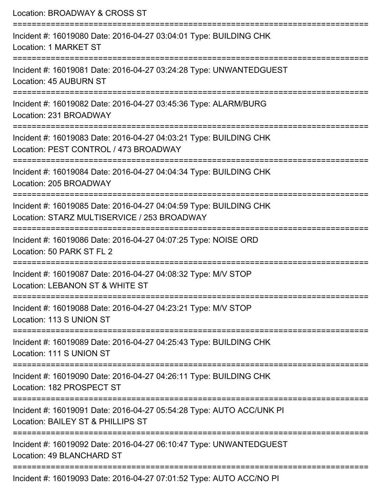| Location: BROADWAY & CROSS ST<br>=========================                                                       |
|------------------------------------------------------------------------------------------------------------------|
| Incident #: 16019080 Date: 2016-04-27 03:04:01 Type: BUILDING CHK<br>Location: 1 MARKET ST                       |
| Incident #: 16019081 Date: 2016-04-27 03:24:28 Type: UNWANTEDGUEST<br><b>Location: 45 AUBURN ST</b>              |
| Incident #: 16019082 Date: 2016-04-27 03:45:36 Type: ALARM/BURG<br>Location: 231 BROADWAY                        |
| Incident #: 16019083 Date: 2016-04-27 04:03:21 Type: BUILDING CHK<br>Location: PEST CONTROL / 473 BROADWAY       |
| Incident #: 16019084 Date: 2016-04-27 04:04:34 Type: BUILDING CHK<br>Location: 205 BROADWAY                      |
| Incident #: 16019085 Date: 2016-04-27 04:04:59 Type: BUILDING CHK<br>Location: STARZ MULTISERVICE / 253 BROADWAY |
| Incident #: 16019086 Date: 2016-04-27 04:07:25 Type: NOISE ORD<br>Location: 50 PARK ST FL 2                      |
| Incident #: 16019087 Date: 2016-04-27 04:08:32 Type: M/V STOP<br>Location: LEBANON ST & WHITE ST                 |
| Incident #: 16019088 Date: 2016-04-27 04:23:21 Type: M/V STOP<br>Location: 113 S UNION ST                        |
| Incident #: 16019089 Date: 2016-04-27 04:25:43 Type: BUILDING CHK<br>Location: 111 S UNION ST                    |
| Incident #: 16019090 Date: 2016-04-27 04:26:11 Type: BUILDING CHK<br>Location: 182 PROSPECT ST                   |
| Incident #: 16019091 Date: 2016-04-27 05:54:28 Type: AUTO ACC/UNK PI<br>Location: BAILEY ST & PHILLIPS ST        |
| Incident #: 16019092 Date: 2016-04-27 06:10:47 Type: UNWANTEDGUEST<br>Location: 49 BLANCHARD ST                  |
| Incident #: 16019093 Date: 2016-04-27 07:01:52 Type: AUTO ACC/NO PI                                              |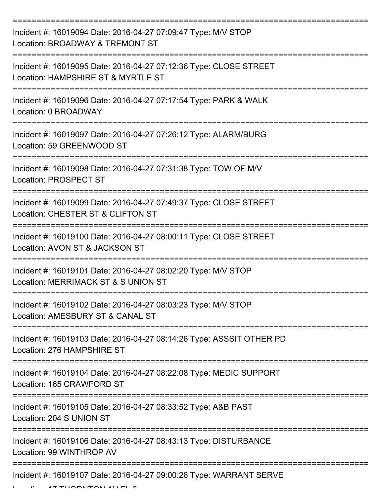| Incident #: 16019094 Date: 2016-04-27 07:09:47 Type: M/V STOP<br>Location: BROADWAY & TREMONT ST        |
|---------------------------------------------------------------------------------------------------------|
| Incident #: 16019095 Date: 2016-04-27 07:12:36 Type: CLOSE STREET<br>Location: HAMPSHIRE ST & MYRTLE ST |
| Incident #: 16019096 Date: 2016-04-27 07:17:54 Type: PARK & WALK<br>Location: 0 BROADWAY                |
| Incident #: 16019097 Date: 2016-04-27 07:26:12 Type: ALARM/BURG<br>Location: 59 GREENWOOD ST            |
| Incident #: 16019098 Date: 2016-04-27 07:31:38 Type: TOW OF M/V<br><b>Location: PROSPECT ST</b>         |
| Incident #: 16019099 Date: 2016-04-27 07:49:37 Type: CLOSE STREET<br>Location: CHESTER ST & CLIFTON ST  |
| Incident #: 16019100 Date: 2016-04-27 08:00:11 Type: CLOSE STREET<br>Location: AVON ST & JACKSON ST     |
| Incident #: 16019101 Date: 2016-04-27 08:02:20 Type: M/V STOP<br>Location: MERRIMACK ST & S UNION ST    |
| Incident #: 16019102 Date: 2016-04-27 08:03:23 Type: M/V STOP<br>Location: AMESBURY ST & CANAL ST       |
| Incident #: 16019103 Date: 2016-04-27 08:14:26 Type: ASSSIT OTHER PD<br>Location: 276 HAMPSHIRE ST      |
| Incident #: 16019104 Date: 2016-04-27 08:22:08 Type: MEDIC SUPPORT<br>Location: 165 CRAWFORD ST         |
| Incident #: 16019105 Date: 2016-04-27 08:33:52 Type: A&B PAST<br>Location: 204 S UNION ST               |
| Incident #: 16019106 Date: 2016-04-27 08:43:13 Type: DISTURBANCE<br>Location: 99 WINTHROP AV            |
| Incident #: 16019107 Date: 2016-04-27 09:00:28 Type: WARRANT SERVE                                      |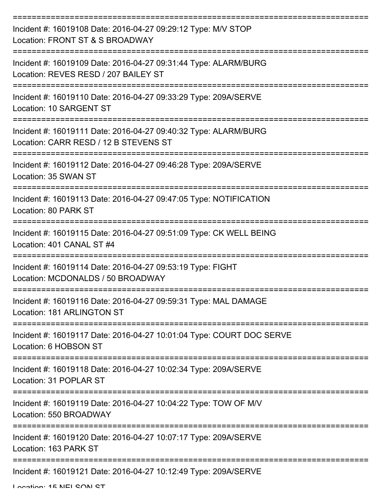| Incident #: 16019108 Date: 2016-04-27 09:29:12 Type: M/V STOP<br>Location: FRONT ST & S BROADWAY         |
|----------------------------------------------------------------------------------------------------------|
| Incident #: 16019109 Date: 2016-04-27 09:31:44 Type: ALARM/BURG<br>Location: REVES RESD / 207 BAILEY ST  |
| Incident #: 16019110 Date: 2016-04-27 09:33:29 Type: 209A/SERVE<br>Location: 10 SARGENT ST               |
| Incident #: 16019111 Date: 2016-04-27 09:40:32 Type: ALARM/BURG<br>Location: CARR RESD / 12 B STEVENS ST |
| Incident #: 16019112 Date: 2016-04-27 09:46:28 Type: 209A/SERVE<br>Location: 35 SWAN ST                  |
| Incident #: 16019113 Date: 2016-04-27 09:47:05 Type: NOTIFICATION<br>Location: 80 PARK ST                |
| Incident #: 16019115 Date: 2016-04-27 09:51:09 Type: CK WELL BEING<br>Location: 401 CANAL ST #4          |
| Incident #: 16019114 Date: 2016-04-27 09:53:19 Type: FIGHT<br>Location: MCDONALDS / 50 BROADWAY          |
| Incident #: 16019116 Date: 2016-04-27 09:59:31 Type: MAL DAMAGE<br>Location: 181 ARLINGTON ST            |
| Incident #: 16019117 Date: 2016-04-27 10:01:04 Type: COURT DOC SERVE<br>Location: 6 HOBSON ST            |
| Incident #: 16019118 Date: 2016-04-27 10:02:34 Type: 209A/SERVE<br>Location: 31 POPLAR ST                |
| Incident #: 16019119 Date: 2016-04-27 10:04:22 Type: TOW OF M/V<br>Location: 550 BROADWAY                |
| Incident #: 16019120 Date: 2016-04-27 10:07:17 Type: 209A/SERVE<br>Location: 163 PARK ST                 |
| Incident #: 16019121 Date: 2016-04-27 10:12:49 Type: 209A/SERVE                                          |

Location: 15 NEL CON CT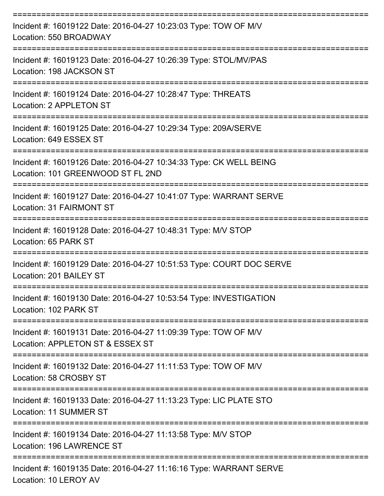| Incident #: 16019122 Date: 2016-04-27 10:23:03 Type: TOW OF M/V<br>Location: 550 BROADWAY                         |
|-------------------------------------------------------------------------------------------------------------------|
| Incident #: 16019123 Date: 2016-04-27 10:26:39 Type: STOL/MV/PAS<br>Location: 198 JACKSON ST<br>================= |
| Incident #: 16019124 Date: 2016-04-27 10:28:47 Type: THREATS<br>Location: 2 APPLETON ST                           |
| Incident #: 16019125 Date: 2016-04-27 10:29:34 Type: 209A/SERVE<br>Location: 649 ESSEX ST                         |
| Incident #: 16019126 Date: 2016-04-27 10:34:33 Type: CK WELL BEING<br>Location: 101 GREENWOOD ST FL 2ND           |
| Incident #: 16019127 Date: 2016-04-27 10:41:07 Type: WARRANT SERVE<br>Location: 31 FAIRMONT ST                    |
| Incident #: 16019128 Date: 2016-04-27 10:48:31 Type: M/V STOP<br>Location: 65 PARK ST                             |
| Incident #: 16019129 Date: 2016-04-27 10:51:53 Type: COURT DOC SERVE<br>Location: 201 BAILEY ST                   |
| Incident #: 16019130 Date: 2016-04-27 10:53:54 Type: INVESTIGATION<br>Location: 102 PARK ST                       |
| Incident #: 16019131 Date: 2016-04-27 11:09:39 Type: TOW OF M/V<br>Location: APPLETON ST & ESSEX ST               |
| Incident #: 16019132 Date: 2016-04-27 11:11:53 Type: TOW OF M/V<br>Location: 58 CROSBY ST                         |
| Incident #: 16019133 Date: 2016-04-27 11:13:23 Type: LIC PLATE STO<br>Location: 11 SUMMER ST                      |
| Incident #: 16019134 Date: 2016-04-27 11:13:58 Type: M/V STOP<br>Location: 196 LAWRENCE ST                        |
| Incident #: 16019135 Date: 2016-04-27 11:16:16 Type: WARRANT SERVE<br>Location: 10 LEROY AV                       |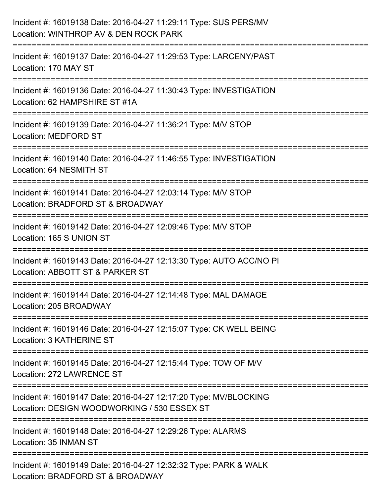| Incident #: 16019138 Date: 2016-04-27 11:29:11 Type: SUS PERS/MV<br>Location: WINTHROP AV & DEN ROCK PARK                 |
|---------------------------------------------------------------------------------------------------------------------------|
| Incident #: 16019137 Date: 2016-04-27 11:29:53 Type: LARCENY/PAST<br>Location: 170 MAY ST<br>---------                    |
| Incident #: 16019136 Date: 2016-04-27 11:30:43 Type: INVESTIGATION<br>Location: 62 HAMPSHIRE ST #1A                       |
| Incident #: 16019139 Date: 2016-04-27 11:36:21 Type: M/V STOP<br><b>Location: MEDFORD ST</b>                              |
| Incident #: 16019140 Date: 2016-04-27 11:46:55 Type: INVESTIGATION<br>Location: 64 NESMITH ST                             |
| Incident #: 16019141 Date: 2016-04-27 12:03:14 Type: M/V STOP<br>Location: BRADFORD ST & BROADWAY<br>-------------------- |
| Incident #: 16019142 Date: 2016-04-27 12:09:46 Type: M/V STOP<br>Location: 165 S UNION ST                                 |
| Incident #: 16019143 Date: 2016-04-27 12:13:30 Type: AUTO ACC/NO PI<br>Location: ABBOTT ST & PARKER ST                    |
| Incident #: 16019144 Date: 2016-04-27 12:14:48 Type: MAL DAMAGE<br>Location: 205 BROADWAY                                 |
| Incident #: 16019146 Date: 2016-04-27 12:15:07 Type: CK WELL BEING<br>Location: 3 KATHERINE ST                            |
| Incident #: 16019145 Date: 2016-04-27 12:15:44 Type: TOW OF M/V<br>Location: 272 LAWRENCE ST                              |
| Incident #: 16019147 Date: 2016-04-27 12:17:20 Type: MV/BLOCKING<br>Location: DESIGN WOODWORKING / 530 ESSEX ST           |
| Incident #: 16019148 Date: 2016-04-27 12:29:26 Type: ALARMS<br>Location: 35 INMAN ST                                      |
| Incident #: 16019149 Date: 2016-04-27 12:32:32 Type: PARK & WALK<br>Location: BRADFORD ST & BROADWAY                      |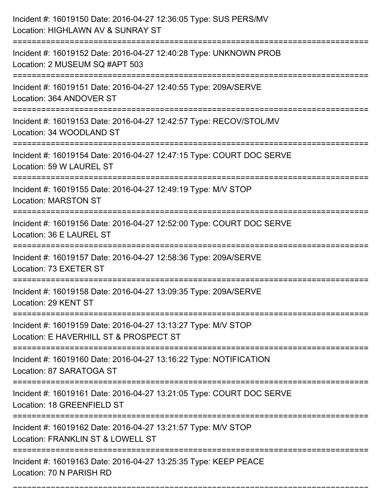| Incident #: 16019150 Date: 2016-04-27 12:36:05 Type: SUS PERS/MV<br>Location: HIGHLAWN AV & SUNRAY ST                                     |
|-------------------------------------------------------------------------------------------------------------------------------------------|
| Incident #: 16019152 Date: 2016-04-27 12:40:28 Type: UNKNOWN PROB<br>Location: 2 MUSEUM SQ #APT 503                                       |
| Incident #: 16019151 Date: 2016-04-27 12:40:55 Type: 209A/SERVE<br>Location: 364 ANDOVER ST                                               |
| Incident #: 16019153 Date: 2016-04-27 12:42:57 Type: RECOV/STOL/MV<br>Location: 34 WOODLAND ST                                            |
| Incident #: 16019154 Date: 2016-04-27 12:47:15 Type: COURT DOC SERVE<br>Location: 59 W LAUREL ST                                          |
| Incident #: 16019155 Date: 2016-04-27 12:49:19 Type: M/V STOP<br><b>Location: MARSTON ST</b>                                              |
| Incident #: 16019156 Date: 2016-04-27 12:52:00 Type: COURT DOC SERVE<br>Location: 36 E LAUREL ST                                          |
| Incident #: 16019157 Date: 2016-04-27 12:58:36 Type: 209A/SERVE<br>Location: 73 EXETER ST                                                 |
| Incident #: 16019158 Date: 2016-04-27 13:09:35 Type: 209A/SERVE<br>Location: 29 KENT ST                                                   |
| Incident #: 16019159 Date: 2016-04-27 13:13:27 Type: M/V STOP<br>Location: E HAVERHILL ST & PROSPECT ST<br>------------------------------ |
| Incident #: 16019160 Date: 2016-04-27 13:16:22 Type: NOTIFICATION<br>Location: 87 SARATOGA ST                                             |
| Incident #: 16019161 Date: 2016-04-27 13:21:05 Type: COURT DOC SERVE<br>Location: 18 GREENFIELD ST                                        |
| Incident #: 16019162 Date: 2016-04-27 13:21:57 Type: M/V STOP<br>Location: FRANKLIN ST & LOWELL ST                                        |
| Incident #: 16019163 Date: 2016-04-27 13:25:35 Type: KEEP PEACE<br>Location: 70 N PARISH RD                                               |

===========================================================================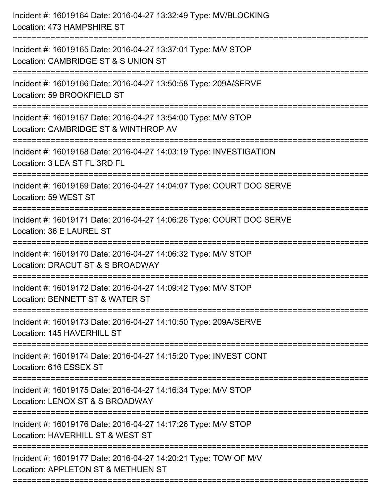| Incident #: 16019164 Date: 2016-04-27 13:32:49 Type: MV/BLOCKING<br>Location: 473 HAMPSHIRE ST        |
|-------------------------------------------------------------------------------------------------------|
| Incident #: 16019165 Date: 2016-04-27 13:37:01 Type: M/V STOP<br>Location: CAMBRIDGE ST & S UNION ST  |
| Incident #: 16019166 Date: 2016-04-27 13:50:58 Type: 209A/SERVE<br>Location: 59 BROOKFIELD ST         |
| Incident #: 16019167 Date: 2016-04-27 13:54:00 Type: M/V STOP<br>Location: CAMBRIDGE ST & WINTHROP AV |
| Incident #: 16019168 Date: 2016-04-27 14:03:19 Type: INVESTIGATION<br>Location: 3 LEA ST FL 3RD FL    |
| Incident #: 16019169 Date: 2016-04-27 14:04:07 Type: COURT DOC SERVE<br>Location: 59 WEST ST          |
| Incident #: 16019171 Date: 2016-04-27 14:06:26 Type: COURT DOC SERVE<br>Location: 36 E LAUREL ST      |
| Incident #: 16019170 Date: 2016-04-27 14:06:32 Type: M/V STOP<br>Location: DRACUT ST & S BROADWAY     |
| Incident #: 16019172 Date: 2016-04-27 14:09:42 Type: M/V STOP<br>Location: BENNETT ST & WATER ST      |
| Incident #: 16019173 Date: 2016-04-27 14:10:50 Type: 209A/SERVE<br>Location: 145 HAVERHILL ST         |
| Incident #: 16019174 Date: 2016-04-27 14:15:20 Type: INVEST CONT<br>Location: 616 ESSEX ST            |
| Incident #: 16019175 Date: 2016-04-27 14:16:34 Type: M/V STOP<br>Location: LENOX ST & S BROADWAY      |
| Incident #: 16019176 Date: 2016-04-27 14:17:26 Type: M/V STOP<br>Location: HAVERHILL ST & WEST ST     |
| Incident #: 16019177 Date: 2016-04-27 14:20:21 Type: TOW OF M/V<br>Location: APPLETON ST & METHUEN ST |
|                                                                                                       |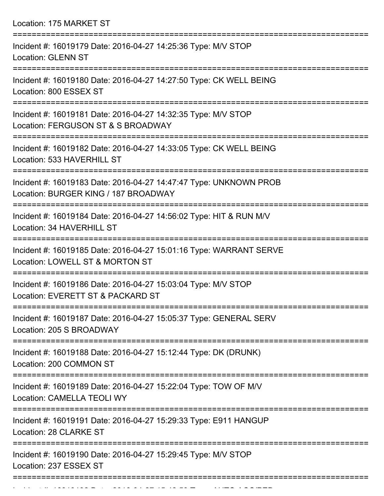Location: 175 MARKET ST

| Incident #: 16019179 Date: 2016-04-27 14:25:36 Type: M/V STOP<br><b>Location: GLENN ST</b>                          |
|---------------------------------------------------------------------------------------------------------------------|
| Incident #: 16019180 Date: 2016-04-27 14:27:50 Type: CK WELL BEING<br>Location: 800 ESSEX ST                        |
| Incident #: 16019181 Date: 2016-04-27 14:32:35 Type: M/V STOP<br>Location: FERGUSON ST & S BROADWAY                 |
| Incident #: 16019182 Date: 2016-04-27 14:33:05 Type: CK WELL BEING<br>Location: 533 HAVERHILL ST<br>=============== |
| Incident #: 16019183 Date: 2016-04-27 14:47:47 Type: UNKNOWN PROB<br>Location: BURGER KING / 187 BROADWAY           |
| Incident #: 16019184 Date: 2016-04-27 14:56:02 Type: HIT & RUN M/V<br>Location: 34 HAVERHILL ST                     |
| Incident #: 16019185 Date: 2016-04-27 15:01:16 Type: WARRANT SERVE<br>Location: LOWELL ST & MORTON ST               |
| Incident #: 16019186 Date: 2016-04-27 15:03:04 Type: M/V STOP<br>Location: EVERETT ST & PACKARD ST                  |
| Incident #: 16019187 Date: 2016-04-27 15:05:37 Type: GENERAL SERV<br>Location: 205 S BROADWAY                       |
| Incident #: 16019188 Date: 2016-04-27 15:12:44 Type: DK (DRUNK)<br>Location: 200 COMMON ST                          |
| Incident #: 16019189 Date: 2016-04-27 15:22:04 Type: TOW OF M/V<br><b>Location: CAMELLA TEOLI WY</b>                |
| Incident #: 16019191 Date: 2016-04-27 15:29:33 Type: E911 HANGUP<br>Location: 28 CLARKE ST                          |
| Incident #: 16019190 Date: 2016-04-27 15:29:45 Type: M/V STOP<br>Location: 237 ESSEX ST                             |
|                                                                                                                     |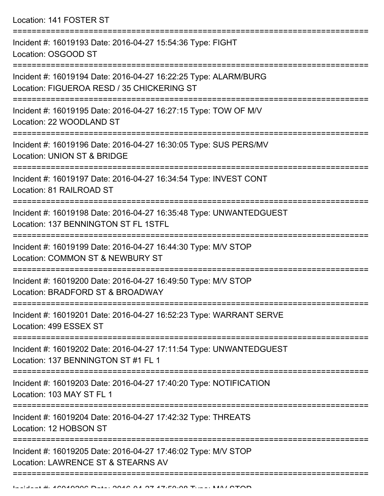Location: 141 FOSTER ST

| Incident #: 16019193 Date: 2016-04-27 15:54:36 Type: FIGHT<br>Location: OSGOOD ST                                                  |
|------------------------------------------------------------------------------------------------------------------------------------|
| Incident #: 16019194 Date: 2016-04-27 16:22:25 Type: ALARM/BURG<br>Location: FIGUEROA RESD / 35 CHICKERING ST                      |
| Incident #: 16019195 Date: 2016-04-27 16:27:15 Type: TOW OF M/V<br>Location: 22 WOODLAND ST                                        |
| Incident #: 16019196 Date: 2016-04-27 16:30:05 Type: SUS PERS/MV<br>Location: UNION ST & BRIDGE                                    |
| Incident #: 16019197 Date: 2016-04-27 16:34:54 Type: INVEST CONT<br>Location: 81 RAILROAD ST                                       |
| Incident #: 16019198 Date: 2016-04-27 16:35:48 Type: UNWANTEDGUEST<br>Location: 137 BENNINGTON ST FL 1STFL                         |
| Incident #: 16019199 Date: 2016-04-27 16:44:30 Type: M/V STOP<br>Location: COMMON ST & NEWBURY ST                                  |
| Incident #: 16019200 Date: 2016-04-27 16:49:50 Type: M/V STOP<br>Location: BRADFORD ST & BROADWAY                                  |
| Incident #: 16019201 Date: 2016-04-27 16:52:23 Type: WARRANT SERVE<br>Location: 499 ESSEX ST                                       |
| =====================<br>Incident #: 16019202 Date: 2016-04-27 17:11:54 Type: UNWANTEDGUEST<br>Location: 137 BENNINGTON ST #1 FL 1 |
| Incident #: 16019203 Date: 2016-04-27 17:40:20 Type: NOTIFICATION<br>Location: 103 MAY ST FL 1                                     |
| Incident #: 16019204 Date: 2016-04-27 17:42:32 Type: THREATS<br>Location: 12 HOBSON ST                                             |
| Incident #: 16019205 Date: 2016-04-27 17:46:02 Type: M/V STOP<br>Location: LAWRENCE ST & STEARNS AV                                |
|                                                                                                                                    |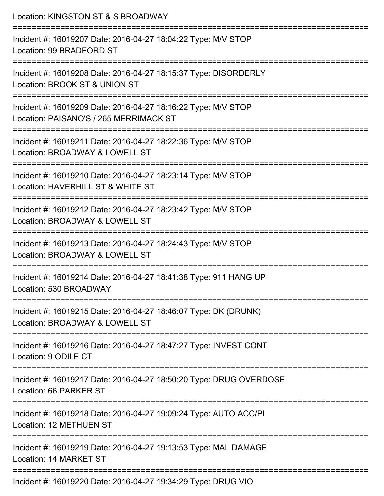| Location: KINGSTON ST & S BROADWAY                                                                                              |
|---------------------------------------------------------------------------------------------------------------------------------|
| Incident #: 16019207 Date: 2016-04-27 18:04:22 Type: M/V STOP<br>Location: 99 BRADFORD ST                                       |
| Incident #: 16019208 Date: 2016-04-27 18:15:37 Type: DISORDERLY<br>Location: BROOK ST & UNION ST                                |
| Incident #: 16019209 Date: 2016-04-27 18:16:22 Type: M/V STOP<br>Location: PAISANO'S / 265 MERRIMACK ST                         |
| :===========================<br>Incident #: 16019211 Date: 2016-04-27 18:22:36 Type: M/V STOP<br>Location: BROADWAY & LOWELL ST |
| Incident #: 16019210 Date: 2016-04-27 18:23:14 Type: M/V STOP<br>Location: HAVERHILL ST & WHITE ST                              |
| ==========================<br>Incident #: 16019212 Date: 2016-04-27 18:23:42 Type: M/V STOP<br>Location: BROADWAY & LOWELL ST   |
| Incident #: 16019213 Date: 2016-04-27 18:24:43 Type: M/V STOP<br>Location: BROADWAY & LOWELL ST                                 |
| Incident #: 16019214 Date: 2016-04-27 18:41:38 Type: 911 HANG UP<br>Location: 530 BROADWAY                                      |
| Incident #: 16019215 Date: 2016-04-27 18:46:07 Type: DK (DRUNK)<br>Location: BROADWAY & LOWELL ST                               |
| Incident #: 16019216 Date: 2016-04-27 18:47:27 Type: INVEST CONT<br>Location: 9 ODILE CT                                        |
| Incident #: 16019217 Date: 2016-04-27 18:50:20 Type: DRUG OVERDOSE<br>Location: 66 PARKER ST                                    |
| =================<br>Incident #: 16019218 Date: 2016-04-27 19:09:24 Type: AUTO ACC/PI<br>Location: 12 METHUEN ST                |
| Incident #: 16019219 Date: 2016-04-27 19:13:53 Type: MAL DAMAGE<br><b>Location: 14 MARKET ST</b>                                |
|                                                                                                                                 |

Incident #: 16019220 Date: 2016-04-27 19:34:29 Type: DRUG VIO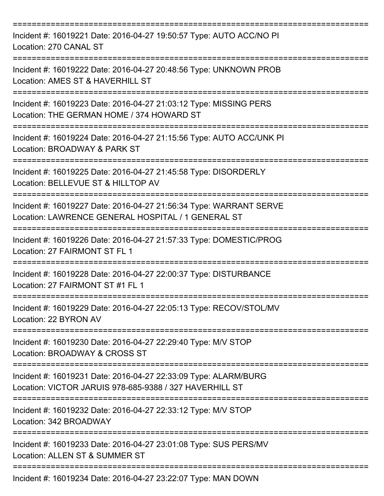| Incident #: 16019221 Date: 2016-04-27 19:50:57 Type: AUTO ACC/NO PI<br>Location: 270 CANAL ST                                 |
|-------------------------------------------------------------------------------------------------------------------------------|
| Incident #: 16019222 Date: 2016-04-27 20:48:56 Type: UNKNOWN PROB<br>Location: AMES ST & HAVERHILL ST                         |
| Incident #: 16019223 Date: 2016-04-27 21:03:12 Type: MISSING PERS<br>Location: THE GERMAN HOME / 374 HOWARD ST                |
| Incident #: 16019224 Date: 2016-04-27 21:15:56 Type: AUTO ACC/UNK PI<br>Location: BROADWAY & PARK ST                          |
| Incident #: 16019225 Date: 2016-04-27 21:45:58 Type: DISORDERLY<br>Location: BELLEVUE ST & HILLTOP AV                         |
| Incident #: 16019227 Date: 2016-04-27 21:56:34 Type: WARRANT SERVE<br>Location: LAWRENCE GENERAL HOSPITAL / 1 GENERAL ST      |
| Incident #: 16019226 Date: 2016-04-27 21:57:33 Type: DOMESTIC/PROG<br>Location: 27 FAIRMONT ST FL 1                           |
| Incident #: 16019228 Date: 2016-04-27 22:00:37 Type: DISTURBANCE<br>Location: 27 FAIRMONT ST #1 FL 1                          |
| :=============================<br>Incident #: 16019229 Date: 2016-04-27 22:05:13 Type: RECOV/STOL/MV<br>Location: 22 BYRON AV |
| Incident #: 16019230 Date: 2016-04-27 22:29:40 Type: M/V STOP<br>Location: BROADWAY & CROSS ST                                |
| Incident #: 16019231 Date: 2016-04-27 22:33:09 Type: ALARM/BURG<br>Location: VICTOR JARUIS 978-685-9388 / 327 HAVERHILL ST    |
| Incident #: 16019232 Date: 2016-04-27 22:33:12 Type: M/V STOP<br>Location: 342 BROADWAY                                       |
| Incident #: 16019233 Date: 2016-04-27 23:01:08 Type: SUS PERS/MV<br>Location: ALLEN ST & SUMMER ST                            |
| Incident #: 16019234 Date: 2016-04-27 23:22:07 Type: MAN DOWN                                                                 |